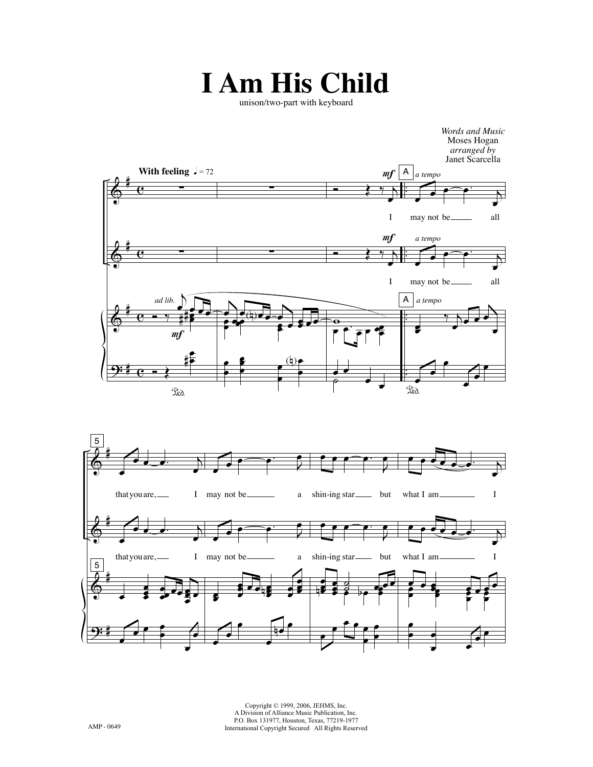## **I Am His Child**

unison/two-part with keyboard





Copyright © 1999, 2006, JEHMS, Inc. A Division of Alliance Music Publication, Inc. P.O. Box 131977, Houston, Texas, 77219-1977 International Copyright Secured All Rights Reserved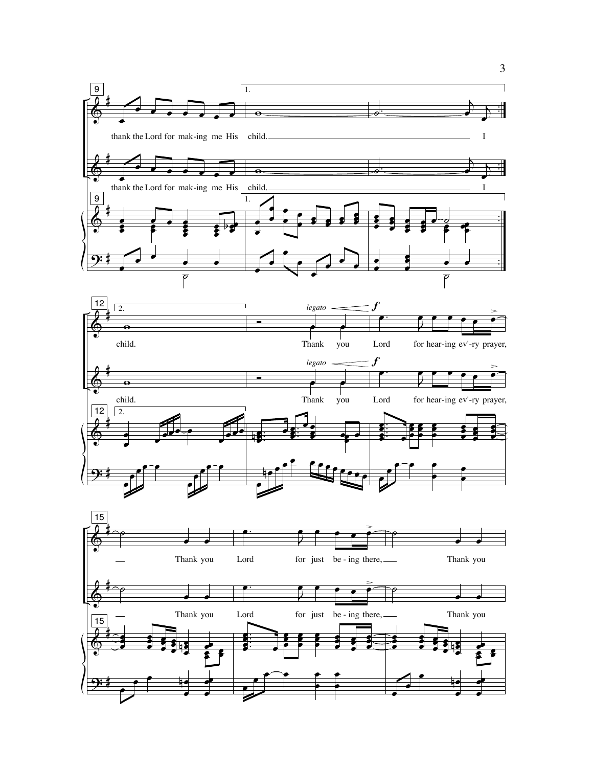